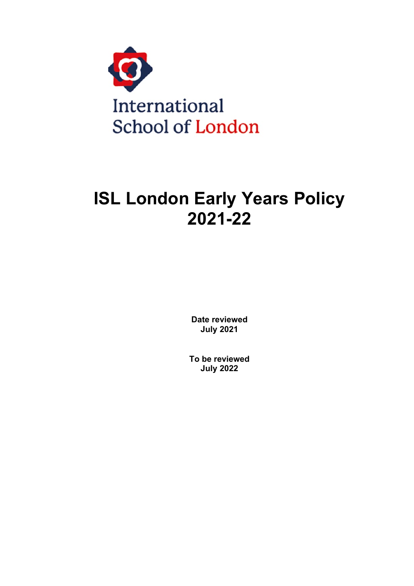

# **ISL London Early Years Policy 2021-22**

**Date reviewed July 2021**

**To be reviewed July 2022**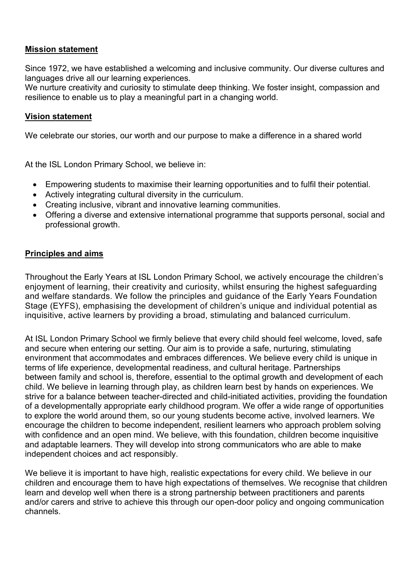### **Mission statement**

Since 1972, we have established a welcoming and inclusive community. Our diverse cultures and languages drive all our learning experiences.

We nurture creativity and curiosity to stimulate deep thinking. We foster insight, compassion and resilience to enable us to play a meaningful part in a changing world.

### **Vision statement**

We celebrate our stories, our worth and our purpose to make a difference in a shared world

At the ISL London Primary School, we believe in:

- Empowering students to maximise their learning opportunities and to fulfil their potential.
- Actively integrating cultural diversity in the curriculum.
- Creating inclusive, vibrant and innovative learning communities.
- Offering a diverse and extensive international programme that supports personal, social and professional growth.

#### **Principles and aims**

Throughout the Early Years at ISL London Primary School, we actively encourage the children's enjoyment of learning, their creativity and curiosity, whilst ensuring the highest safeguarding and welfare standards. We follow the principles and guidance of the Early Years Foundation Stage (EYFS), emphasising the development of children's unique and individual potential as inquisitive, active learners by providing a broad, stimulating and balanced curriculum.

At ISL London Primary School we firmly believe that every child should feel welcome, loved, safe and secure when entering our setting. Our aim is to provide a safe, nurturing, stimulating environment that accommodates and embraces differences. We believe every child is unique in terms of life experience, developmental readiness, and cultural heritage. Partnerships between family and school is, therefore, essential to the optimal growth and development of each child. We believe in learning through play, as children learn best by hands on experiences. We strive for a balance between teacher-directed and child-initiated activities, providing the foundation of a developmentally appropriate early childhood program. We offer a wide range of opportunities to explore the world around them, so our young students become active, involved learners. We encourage the children to become independent, resilient learners who approach problem solving with confidence and an open mind. We believe, with this foundation, children become inquisitive and adaptable learners. They will develop into strong communicators who are able to make independent choices and act responsibly.

We believe it is important to have high, realistic expectations for every child. We believe in our children and encourage them to have high expectations of themselves. We recognise that children learn and develop well when there is a strong partnership between practitioners and parents and/or carers and strive to achieve this through our open-door policy and ongoing communication channels.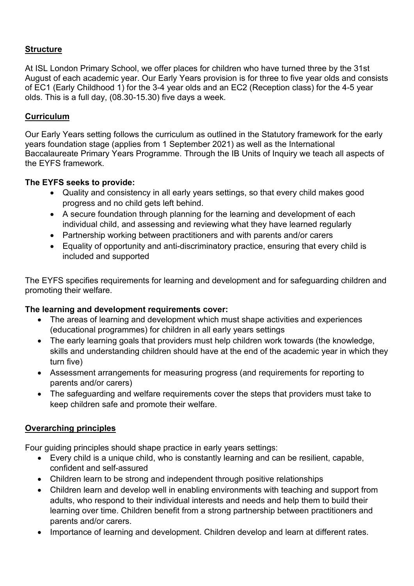## **Structure**

At ISL London Primary School, we offer places for children who have turned three by the 31st August of each academic year. Our Early Years provision is for three to five year olds and consists of EC1 (Early Childhood 1) for the 3-4 year olds and an EC2 (Reception class) for the 4-5 year olds. This is a full day, (08.30-15.30) five days a week.

## **Curriculum**

Our Early Years setting follows the curriculum as outlined in the Statutory [framework](https://assets.publishing.service.gov.uk/government/uploads/system/uploads/attachment_data/file/974907/EYFS_framework_-_March_2021.pdf) for the early years foundation stage (applies from 1 [September](https://assets.publishing.service.gov.uk/government/uploads/system/uploads/attachment_data/file/974907/EYFS_framework_-_March_2021.pdf) 2021) as well as the International Baccalaureate Primary Years Programme. Through the IB Units of Inquiry we teach all aspects of the EYFS framework.

## **The EYFS seeks to provide:**

- Quality and consistency in all early years settings, so that every child makes good progress and no child gets left behind.
- A secure foundation through planning for the learning and development of each individual child, and assessing and reviewing what they have learned regularly
- Partnership working between practitioners and with parents and/or carers
- Equality of opportunity and anti-discriminatory practice, ensuring that every child is included and supported

The EYFS specifies requirements for learning and development and for safeguarding children and promoting their welfare.

## **The learning and development requirements cover:**

- The areas of learning and development which must shape activities and experiences (educational programmes) for children in all early years settings
- The early learning goals that providers must help children work towards (the knowledge, skills and understanding children should have at the end of the academic year in which they turn five)
- Assessment arrangements for measuring progress (and requirements for reporting to parents and/or carers)
- The safeguarding and welfare requirements cover the steps that providers must take to keep children safe and promote their welfare.

# **Overarching principles**

Four guiding principles should shape practice in early years settings:

- Every child is a unique child, who is constantly learning and can be resilient, capable, confident and self-assured
- Children learn to be strong and independent through positive relationships
- Children learn and develop well in enabling environments with teaching and support from adults, who respond to their individual interests and needs and help them to build their learning over time. Children benefit from a strong partnership between practitioners and parents and/or carers.
- Importance of learning and development. Children develop and learn at different rates.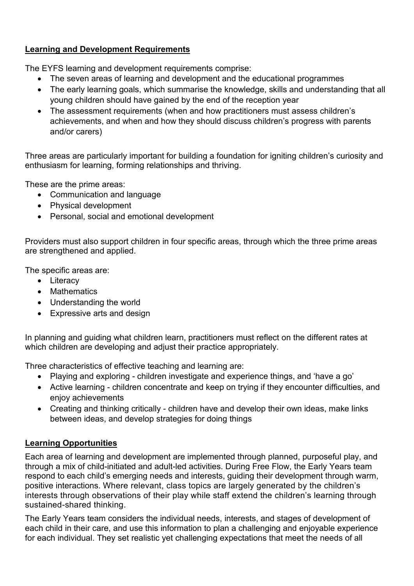# **Learning and Development Requirements**

The EYFS learning and development requirements comprise:

- The seven areas of learning and development and the educational programmes
- The early learning goals, which summarise the knowledge, skills and understanding that all young children should have gained by the end of the reception year
- The assessment requirements (when and how practitioners must assess children's achievements, and when and how they should discuss children's progress with parents and/or carers)

Three areas are particularly important for building a foundation for igniting children's curiosity and enthusiasm for learning, forming relationships and thriving.

These are the prime areas:

- Communication and language
- Physical development
- Personal, social and emotional development

Providers must also support children in four specific areas, through which the three prime areas are strengthened and applied.

The specific areas are:

- Literacy
- Mathematics
- Understanding the world
- Expressive arts and design

In planning and guiding what children learn, practitioners must reflect on the different rates at which children are developing and adjust their practice appropriately.

Three characteristics of effective teaching and learning are:

- Playing and exploring children investigate and experience things, and 'have a go'
- Active learning children concentrate and keep on trying if they encounter difficulties, and enjoy achievements
- Creating and thinking critically children have and develop their own ideas, make links between ideas, and develop strategies for doing things

# **Learning Opportunities**

Each area of learning and development are implemented through planned, purposeful play, and through a mix of child-initiated and adult-led activities. During Free Flow, the Early Years team respond to each child's emerging needs and interests, guiding their development through warm, positive interactions. Where relevant, class topics are largely generated by the children's interests through observations of their play while staff extend the children's learning through sustained-shared thinking.

The Early Years team considers the individual needs, interests, and stages of development of each child in their care, and use this information to plan a challenging and enjoyable experience for each individual. They set realistic yet challenging expectations that meet the needs of all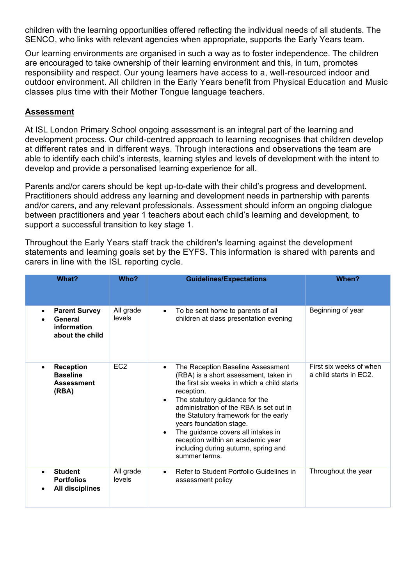children with the learning opportunities offered reflecting the individual needs of all students. The SENCO, who links with relevant agencies when appropriate, supports the Early Years team.

Our learning environments are organised in such a way as to foster independence. The children are encouraged to take ownership of their learning environment and this, in turn, promotes responsibility and respect. Our young learners have access to a, well-resourced indoor and outdoor environment. All children in the Early Years benefit from Physical Education and Music classes plus time with their Mother Tongue language teachers.

## **Assessment**

At ISL London Primary School ongoing assessment is an integral part of the learning and development process. Our child-centred approach to learning recognises that children develop at different rates and in different ways. Through interactions and observations the team are able to identify each child's interests, learning styles and levels of development with the intent to develop and provide a personalised learning experience for all.

Parents and/or carers should be kept up-to-date with their child's progress and development. Practitioners should address any learning and development needs in partnership with parents and/or carers, and any relevant professionals. Assessment should inform an ongoing dialogue between practitioners and year 1 teachers about each child's learning and development, to support a successful transition to key stage 1.

Throughout the Early Years staff track the children's learning against the development statements and learning goals set by the EYFS. This information is shared with parents and carers in line with the ISL reporting cycle.

| What?                                                                          | Who?                | <b>Guidelines/Expectations</b>                                                                                                                                                                                                                                                                                                                                                                                                                        | When?                                             |
|--------------------------------------------------------------------------------|---------------------|-------------------------------------------------------------------------------------------------------------------------------------------------------------------------------------------------------------------------------------------------------------------------------------------------------------------------------------------------------------------------------------------------------------------------------------------------------|---------------------------------------------------|
| <b>Parent Survey</b><br>٠<br>General<br>information<br>about the child         | All grade<br>levels | To be sent home to parents of all<br>$\bullet$<br>children at class presentation evening                                                                                                                                                                                                                                                                                                                                                              | Beginning of year                                 |
| <b>Reception</b><br>$\bullet$<br><b>Baseline</b><br><b>Assessment</b><br>(RBA) | EC <sub>2</sub>     | The Reception Baseline Assessment<br>$\bullet$<br>(RBA) is a short assessment, taken in<br>the first six weeks in which a child starts<br>reception.<br>The statutory guidance for the<br>$\bullet$<br>administration of the RBA is set out in<br>the Statutory framework for the early<br>years foundation stage.<br>The guidance covers all intakes in<br>reception within an academic year<br>including during autumn, spring and<br>summer terms. | First six weeks of when<br>a child starts in EC2. |
| <b>Student</b><br><b>Portfolios</b><br><b>All disciplines</b>                  | All grade<br>levels | Refer to Student Portfolio Guidelines in<br>assessment policy                                                                                                                                                                                                                                                                                                                                                                                         | Throughout the year                               |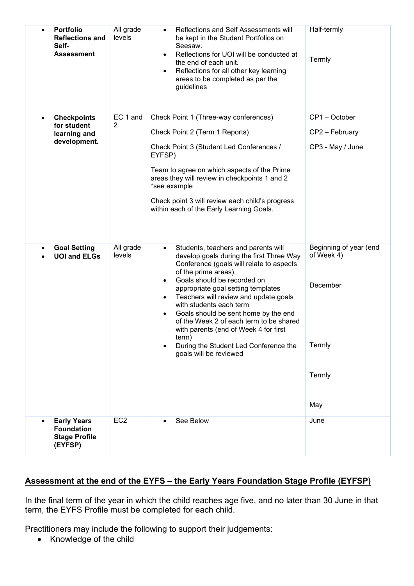| <b>Portfolio</b><br>$\bullet$<br><b>Reflections and</b><br>Self-<br><b>Assessment</b> | All grade<br>levels | Reflections and Self Assessments will<br>$\bullet$<br>be kept in the Student Portfolios on<br>Seesaw.<br>Reflections for UOI will be conducted at<br>$\bullet$<br>the end of each unit.<br>Reflections for all other key learning<br>$\bullet$<br>areas to be completed as per the<br>guidelines                                                                                                                                                                                                                                         | Half-termly<br>Termly                                                       |
|---------------------------------------------------------------------------------------|---------------------|------------------------------------------------------------------------------------------------------------------------------------------------------------------------------------------------------------------------------------------------------------------------------------------------------------------------------------------------------------------------------------------------------------------------------------------------------------------------------------------------------------------------------------------|-----------------------------------------------------------------------------|
| <b>Checkpoints</b><br>$\bullet$<br>for student<br>learning and<br>development.        | EC 1 and<br>2       | Check Point 1 (Three-way conferences)<br>Check Point 2 (Term 1 Reports)<br>Check Point 3 (Student Led Conferences /<br>EYFSP)<br>Team to agree on which aspects of the Prime<br>areas they will review in checkpoints 1 and 2<br>*see example<br>Check point 3 will review each child's progress<br>within each of the Early Learning Goals.                                                                                                                                                                                             | CP1 - October<br>CP2 - February<br>CP3 - May / June                         |
| <b>Goal Setting</b><br><b>UOI and ELGs</b>                                            | All grade<br>levels | Students, teachers and parents will<br>$\bullet$<br>develop goals during the first Three Way<br>Conference (goals will relate to aspects<br>of the prime areas).<br>Goals should be recorded on<br>$\bullet$<br>appropriate goal setting templates<br>Teachers will review and update goals<br>٠<br>with students each term<br>Goals should be sent home by the end<br>٠<br>of the Week 2 of each term to be shared<br>with parents (end of Week 4 for first<br>term)<br>During the Student Led Conference the<br>goals will be reviewed | Beginning of year (end<br>of Week 4)<br>December<br>Termly<br>Termly<br>May |
| <b>Early Years</b><br><b>Foundation</b><br><b>Stage Profile</b><br>(EYFSP)            | EC <sub>2</sub>     | See Below                                                                                                                                                                                                                                                                                                                                                                                                                                                                                                                                | June                                                                        |

# **Assessment at the end of the EYFS – the Early Years Foundation Stage Profile (EYFSP)**

In the final term of the year in which the child reaches age five, and no later than 30 June in that term, the EYFS Profile must be completed for each child.

Practitioners may include the following to support their judgements:

• Knowledge of the child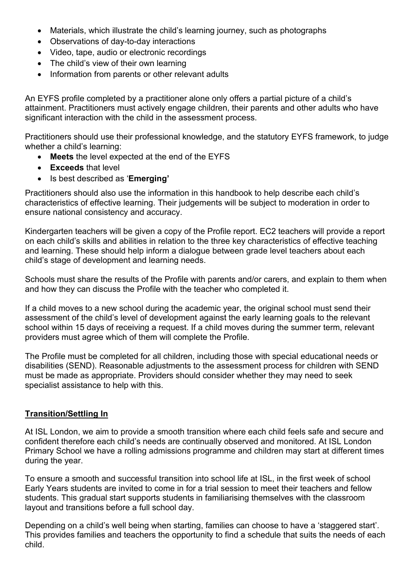- Materials, which illustrate the child's learning journey, such as photographs
- Observations of day-to-day interactions
- Video, tape, audio or electronic recordings
- The child's view of their own learning
- Information from parents or other relevant adults

An EYFS profile completed by a practitioner alone only offers a partial picture of a child's attainment. Practitioners must actively engage children, their parents and other adults who have significant interaction with the child in the assessment process.

Practitioners should use their professional knowledge, and the statutory EYFS framework, to judge whether a child's learning:

- **Meets** the level expected at the end of the EYFS
- **Exceeds** that level
- Is best described as '**Emerging'**

Practitioners should also use the information in this handbook to help describe each child's characteristics of effective learning. Their judgements will be subject to moderation in order to ensure national consistency and accuracy.

Kindergarten teachers will be given a copy of the Profile report. EC2 teachers will provide a report on each child's skills and abilities in relation to the three key characteristics of effective teaching and learning. These should help inform a dialogue between grade level teachers about each child's stage of development and learning needs.

Schools must share the results of the Profile with parents and/or carers, and explain to them when and how they can discuss the Profile with the teacher who completed it.

If a child moves to a new school during the academic year, the original school must send their assessment of the child's level of development against the early learning goals to the relevant school within 15 days of receiving a request. If a child moves during the summer term, relevant providers must agree which of them will complete the Profile.

The Profile must be completed for all children, including those with special educational needs or disabilities (SEND). Reasonable adjustments to the assessment process for children with SEND must be made as appropriate. Providers should consider whether they may need to seek specialist assistance to help with this.

## **Transition/Settling In**

At ISL London, we aim to provide a smooth transition where each child feels safe and secure and confident therefore each child's needs are continually observed and monitored. At ISL London Primary School we have a rolling admissions programme and children may start at different times during the year.

To ensure a smooth and successful transition into school life at ISL, in the first week of school Early Years students are invited to come in for a trial session to meet their teachers and fellow students. This gradual start supports students in familiarising themselves with the classroom layout and transitions before a full school day.

Depending on a child's well being when starting, families can choose to have a 'staggered start'. This provides families and teachers the opportunity to find a schedule that suits the needs of each child.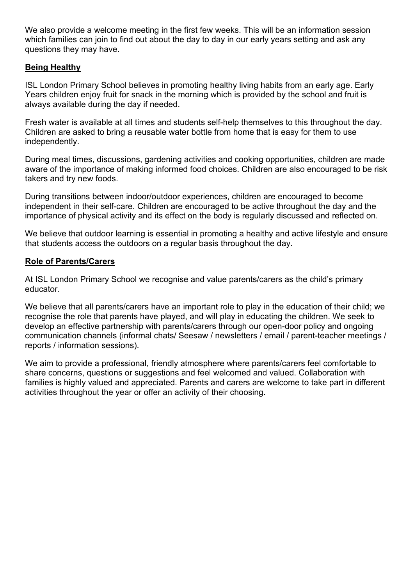We also provide a welcome meeting in the first few weeks. This will be an information session which families can join to find out about the day to day in our early years setting and ask any questions they may have.

## **Being Healthy**

ISL London Primary School believes in promoting healthy living habits from an early age. Early Years children enjoy fruit for snack in the morning which is provided by the school and fruit is always available during the day if needed.

Fresh water is available at all times and students self-help themselves to this throughout the day. Children are asked to bring a reusable water bottle from home that is easy for them to use independently.

During meal times, discussions, gardening activities and cooking opportunities, children are made aware of the importance of making informed food choices. Children are also encouraged to be risk takers and try new foods.

During transitions between indoor/outdoor experiences, children are encouraged to become independent in their self-care. Children are encouraged to be active throughout the day and the importance of physical activity and its effect on the body is regularly discussed and reflected on.

We believe that outdoor learning is essential in promoting a healthy and active lifestyle and ensure that students access the outdoors on a regular basis throughout the day.

#### **Role of Parents/Carers**

At ISL London Primary School we recognise and value parents/carers as the child's primary educator.

We believe that all parents/carers have an important role to play in the education of their child; we recognise the role that parents have played, and will play in educating the children. We seek to develop an effective partnership with parents/carers through our open-door policy and ongoing communication channels (informal chats/ Seesaw / newsletters / email / parent-teacher meetings / reports / information sessions).

We aim to provide a professional, friendly atmosphere where parents/carers feel comfortable to share concerns, questions or suggestions and feel welcomed and valued. Collaboration with families is highly valued and appreciated. Parents and carers are welcome to take part in different activities throughout the year or offer an activity of their choosing.